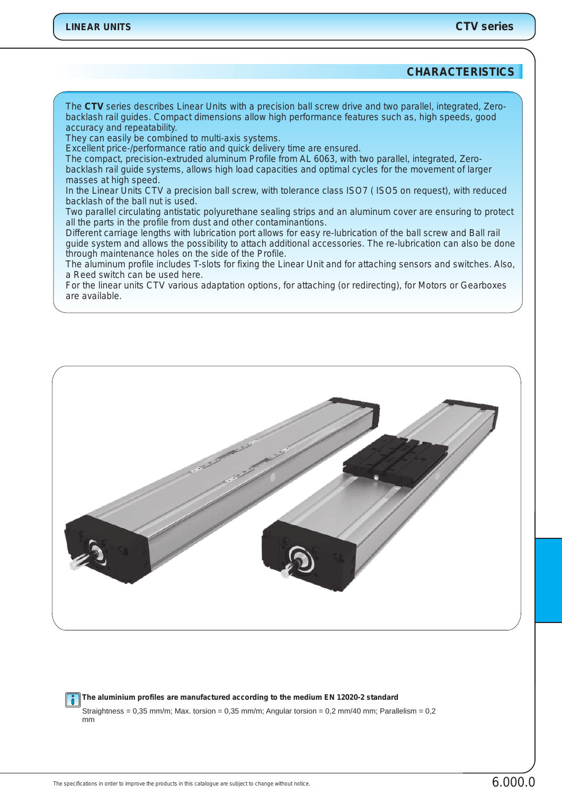## **CHARACTERISTICS**

*The CTV series describes Linear Units with a precision ball screw drive and two parallel, integrated, Zerobacklash rail guides. Compact dimensions allow high performance features such as, high speeds, good accuracy and repeatability.*

*They can easily be combined to multi-axis systems.*

*Excellent price-/performance ratio and quick delivery time are ensured.*

*The compact, precision-extruded aluminum Profile from AL 6063, with two parallel, integrated, Zerobacklash rail guide systems, allows high load capacities and optimal cycles for the movement of larger masses at high speed.*

*In the Linear Units CTV a precision ball screw, with tolerance class ISO7 ( ISO5 on request), with reduced backlash of the ball nut is used.*

*Two parallel circulating antistatic polyurethane sealing strips and an aluminum cover are ensuring to protect all the parts in the profile from dust and other contaminantions.*

*Different carriage lengths with lubrication port allows for easy re-lubrication of the ball screw and Ball rail guide system and allows the possibility to attach additional accessories. The re-lubrication can also be done through maintenance holes on the side of the Profile.*

*The aluminum profile includes T-slots for fixing the Linear Unit and for attaching sensors and switches. Also, a Reed switch can be used here.*

*For the linear units CTV various adaptation options, for attaching (or redirecting), for Motors or Gearboxes are available.*



**The aluminium profiles are manufactured according to the medium EN 12020-2 standard** Straightness =  $0.35$  mm/m; Max. torsion =  $0.35$  mm/m; Angular torsion =  $0.2$  mm/40 mm; Parallelism =  $0.2$ mm

The specifications in order to improve the products in this catalogue are subject to change without notice.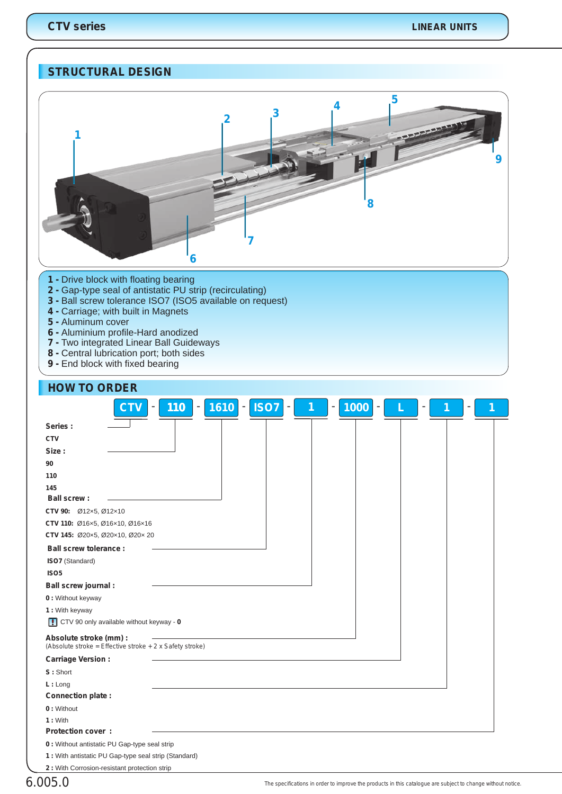# **STRUCTURAL DESIGN**



- **1**  Drive block with floating bearing
- **2 -** Gap-type seal of antistatic PU strip (recirculating)
- **3** Ball screw tolerance ISO7 (ISO5 available on request)
- **4** Carriage; with built in Magnets
- **5**  Aluminum cover

**HOW TO ORDER**

- **6** Aluminium profile-Hard anodized
- **7** Two integrated Linear Ball Guideways
- **8**  Central lubrication port; both sides
- **9**  End block with fixed bearing

| <b>NUW IU UNDER</b>                                                                       |
|-------------------------------------------------------------------------------------------|
| 1610<br><b>ISO7</b><br><b>CTV</b><br>110<br>1000<br>$\overline{\phantom{a}}$<br>-<br>۰    |
| Series:                                                                                   |
| <b>CTV</b>                                                                                |
| Size:                                                                                     |
| 90                                                                                        |
| 110                                                                                       |
| 145                                                                                       |
| <b>Ball screw:</b>                                                                        |
| CTV 90: Ø12x5, Ø12x10                                                                     |
| CTV 110: Ø16x5, Ø16x10, Ø16x16                                                            |
| CTV 145: Ø20×5, Ø20×10, Ø20×20                                                            |
| <b>Ball screw tolerance:</b>                                                              |
| ISO7 (Standard)                                                                           |
| ISO <sub>5</sub>                                                                          |
| <b>Ball screw journal:</b>                                                                |
| 0 : Without keyway                                                                        |
| 1 : With keyway                                                                           |
| CTV 90 only available without keyway - 0                                                  |
| Absolute stroke (mm) :<br>(Absolute stroke = Effective stroke + $2 \times$ Safety stroke) |
| <b>Carriage Version:</b>                                                                  |
| S: Short                                                                                  |
| L: Long                                                                                   |
| <b>Connection plate:</b>                                                                  |
| 0: Without                                                                                |
| 1: With                                                                                   |
| <b>Protection cover:</b>                                                                  |
| 0 : Without antistatic PU Gap-type seal strip                                             |

**2 :** With Corrosion-resistant protection strip

**1 :** With antistatic PU Gap-type seal strip (Standard)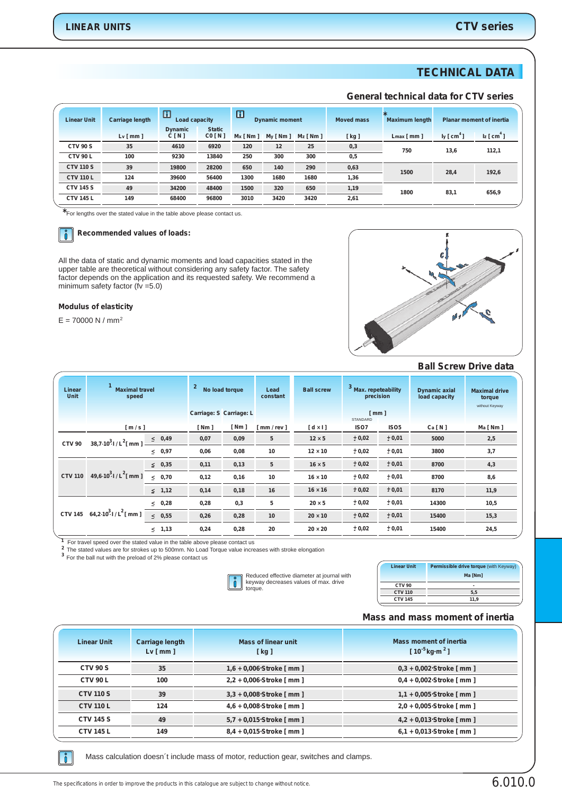# **TECHNICAL DATA**

#### **General technical data for CTV series**

| <b>Linear Unit</b> | <b>Carriage length</b> | $\boxed{1}$<br>Load capacity |                        | $\Box$<br><b>Dynamic moment</b> |             |             | <b>Moved mass</b> | ★<br><b>Maximum length</b> |                       | <b>Planar moment of inertia</b> |       |  |       |
|--------------------|------------------------|------------------------------|------------------------|---------------------------------|-------------|-------------|-------------------|----------------------------|-----------------------|---------------------------------|-------|--|-------|
|                    | $Lv$ [ mm ]            | <b>Dynamic</b><br>C[N]       | <b>Static</b><br>CO[N] | $Mx \upharpoonright Nm$ ]       | $My$ [ Nm ] | $Mz$ [ Nm ] | [ kg ]            | $Lmax$ [ mm ]              | ly [cm <sup>4</sup> ] | $I_z$ [ $cm4$ ]                 |       |  |       |
| <b>CTV 90 S</b>    | 35                     | 4610                         | 6920                   | 120                             | 12          | 25          | 0,3               |                            |                       | 750                             | 13,6  |  | 112,1 |
| <b>CTV 90 L</b>    | 100                    | 9230                         | 13840                  | 250                             | 300         | 300         | 0,5               |                            |                       |                                 |       |  |       |
| <b>CTV 110 S</b>   | 39                     | 19800                        | 28200                  | 650                             | 140         | 290         | 0,63              |                            | 1500                  |                                 | 192,6 |  |       |
| <b>CTV 110 L</b>   | 124                    | 39600                        | 56400                  | 1300                            | 1680        | 1680        | 1,36              |                            | 28,4                  |                                 |       |  |       |
| <b>CTV 145 S</b>   | 49                     | 34200                        | 48400                  | 1500                            | 320         | 650         | 1,19              | 1800                       | 656,9<br>83,1         |                                 |       |  |       |
| <b>CTV 145 L</b>   | 149                    | 68400                        | 96800                  | 3010                            | 3420        | 3420        | 2,61              |                            |                       |                                 |       |  |       |
|                    |                        |                              |                        |                                 |             |             |                   |                            |                       |                                 |       |  |       |

**\***For lengths over the stated value in the table above please contact us.

### **8** Recommended values of loads:

All the data of static and dynamic moments and load capacities stated in the upper table are theoretical without considering any safety factor. The safety factor depends on the application and its requested safety. We recommend a minimum safety factor  $(iv = 5.0)$ 

#### **Modulus of elasticity**

 $E = 70000 N / mm<sup>2</sup>$ 



## **Ball Screw Drive data**

| Linear<br>Unit | <b>Maximal travel</b><br>speed      |                 | $\overline{2}$<br>No load torque |                    | Lead<br>constant | <b>Ball screw</b>  | 3<br><b>Max. repeteability</b><br>precision |                  | <b>Dynamic axial</b><br>load capacity | <b>Maximal drive</b><br>torque<br>without Keyway |
|----------------|-------------------------------------|-----------------|----------------------------------|--------------------|------------------|--------------------|---------------------------------------------|------------------|---------------------------------------|--------------------------------------------------|
|                |                                     |                 | Carriage: S Carriage: L          |                    |                  |                    | $\lceil$ mm $\rceil$<br>STANDARD            |                  |                                       |                                                  |
|                | [m/s]                               |                 | [ Nm ]                           | $\lceil Nm \rceil$ | [mm / rev ]      | $\lceil dx \rceil$ | ISO7                                        | ISO <sub>5</sub> | Ca[N]                                 | Ma [ Nm ]                                        |
| <b>CTV 90</b>  | 38,7·10 <sup>3</sup> $1/L2[$ mm ] - | $\leq 0,49$     | 0,07                             | 0,09               | 5                | $12 \times 5$      | ± 0,02                                      | ± 0,01           | 5000                                  | 2,5                                              |
|                |                                     | $\leq 0.97$     | 0,06                             | 0,08               | 10               | $12 \times 10$     | ± 0,02                                      | ± 0,01           | 3800                                  | 3,7                                              |
|                | 49,6·10 <sup>3</sup> $1/L2$ [ mm ]  | $\leq 0.35$     | 0,11                             | 0,13               | 5                | $16 \times 5$      | ± 0,02                                      | ± 0,01           | 8700                                  | 4,3                                              |
| <b>CTV 110</b> |                                     | 0,70<br>$\prec$ | 0,12                             | 0,16               | 10               | $16 \times 10$     | ± 0,02                                      | ± 0,01           | 8700                                  | 8,6                                              |
|                |                                     | $\leq$ 1,12     | 0,14                             | 0,18               | 16               | $16 \times 16$     | ± 0,02                                      | ± 0,01           | 8170                                  | 11,9                                             |
|                | 64,2.10 <sup>3</sup> $1/L^2$ [ mm ] | $\leq 0.28$     | 0,28                             | 0,3                | 5                | $20 \times 5$      | ± 0,02                                      | ± 0,01           | 14300                                 | 10,5                                             |
| <b>CTV 145</b> |                                     | $\leq 0.55$     | 0,26                             | 0,28               | 10               | $20 \times 10$     | ± 0,02                                      | ± 0,01           | 15400                                 | 15,3                                             |
|                |                                     | 1,13<br>$\leq$  | 0,24                             | 0,28               | 20               | $20 \times 20$     | ± 0,02                                      | ± 0,01           | 15400                                 | 24,5                                             |

<sup>1</sup> For travel speed over the stated value in the table above please contact us

The stated values are for strokes up to 500mm. No Load Torque value increases with stroke elongation

For the ball nut with the preload of 2% please contact us **3**



| <b>Linear Unit</b> | Permissible drive torque (with Keyway) |
|--------------------|----------------------------------------|
|                    | Ma [Nm]                                |
| <b>CTV 90</b>      |                                        |
| <b>CTV 110</b>     | 5.5                                    |
| <b>CTV 145</b>     | 11.9                                   |
|                    |                                        |

#### **Mass and mass moment of inertia**

| <b>Linear Unit</b> | <b>Carriage length</b><br>$Lv \mid mm \mid$ | <b>Mass of linear unit</b><br>[ kg ] | Mass moment of inertia<br>$[10^{-5}$ kg·m <sup>2</sup> ] |
|--------------------|---------------------------------------------|--------------------------------------|----------------------------------------------------------|
| <b>CTV 90 S</b>    | 35                                          | 1,6 + 0,006 Stroke [ mm ]            | $0,3 + 0,002$ Stroke [ mm ]                              |
| <b>CTV 90 L</b>    | 100                                         | 2,2 + 0,006 Stroke [ mm ]            | $0.4 + 0.002$ Stroke [ mm ]                              |
| <b>CTV 110 S</b>   | 39                                          | 3,3 + 0,008 Stroke [ mm ]            | $1,1 + 0.005$ Stroke [ mm ]                              |
| <b>CTV 110 L</b>   | 124                                         | 4,6 + 0,008 Stroke [ mm ]            | 2,0 + 0,005 Stroke [ mm ]                                |
| <b>CTV 145 S</b>   | 49                                          | 5,7 + 0,015 Stroke [ mm ]            | 4,2 + 0,013 Stroke [ mm ]                                |
| <b>CTV 145 L</b>   | 149                                         | 8,4 + 0,015 Stroke [ mm ]            | $6.1 + 0.013$ Stroke [ mm ]                              |
|                    |                                             |                                      |                                                          |

 $\|\mathbf{\r{}}\|$ 

Mass calculation doesn´t include mass of motor, reduction gear, switches and clamps.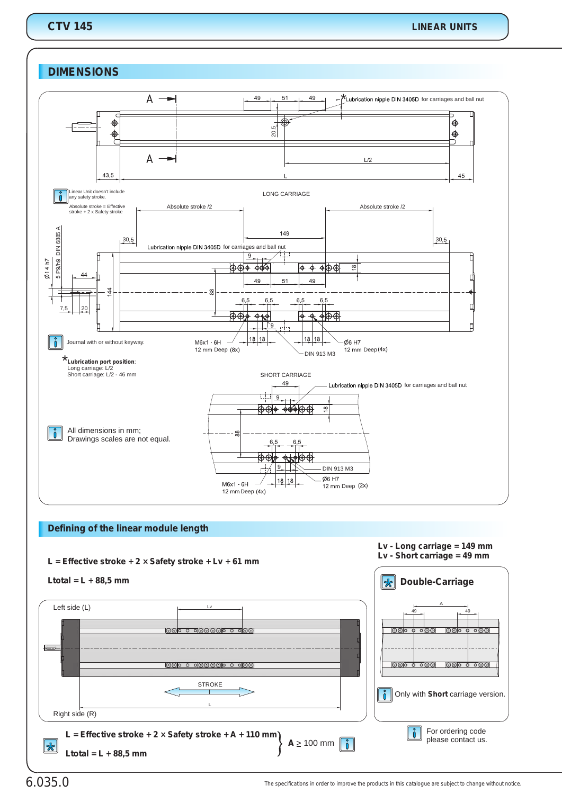## **CTV 145**

## **DIMENSIONS**



#### **Defining of the linear module length**



# 6.035.0